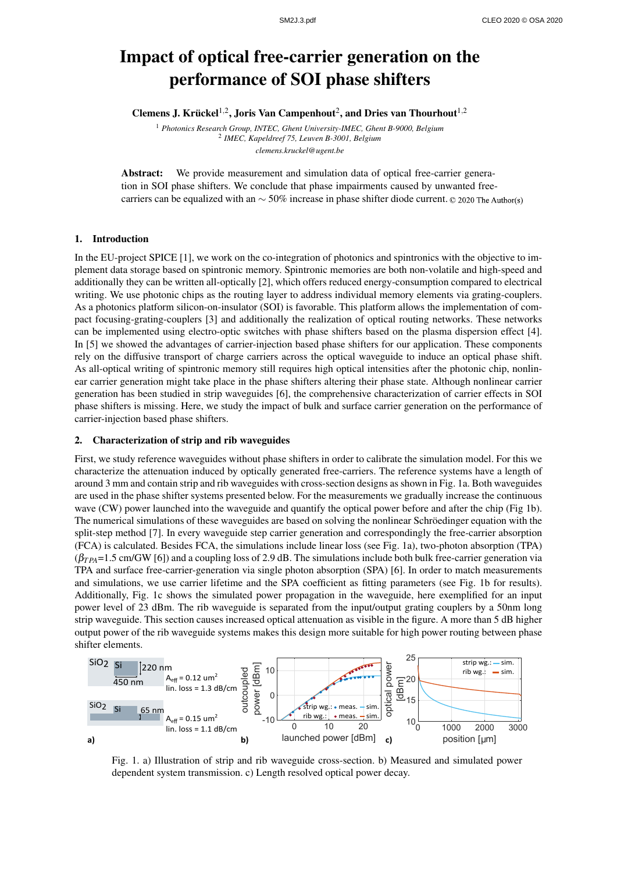# Impact of optical free-carrier generation on the performance of SOI phase shifters

Clemens J. Krückel<sup>1,2</sup>, Joris Van Campenhout<sup>2</sup>, and Dries van Thourhout<sup>1,2</sup>

<sup>1</sup> *Photonics Research Group, INTEC, Ghent University-IMEC, Ghent B-9000, Belgium* 2 *IMEC, Kapeldreef 75, Leuven B-3001, Belgium clemens.kruckel@ugent.be*

Abstract: We provide measurement and simulation data of optical free-carrier generation in SOI phase shifters. We conclude that phase impairments caused by unwanted freecarriers can be equalized with an  $\sim$  50% increase in phase shifter diode current. © 2020 The Author(s)

## 1. Introduction

In the EU-project SPICE [1], we work on the co-integration of photonics and spintronics with the objective to implement data storage based on spintronic memory. Spintronic memories are both non-volatile and high-speed and additionally they can be written all-optically [2], which offers reduced energy-consumption compared to electrical writing. We use photonic chips as the routing layer to address individual memory elements via grating-couplers. As a photonics platform silicon-on-insulator (SOI) is favorable. This platform allows the implementation of compact focusing-grating-couplers [3] and additionally the realization of optical routing networks. These networks can be implemented using electro-optic switches with phase shifters based on the plasma dispersion effect [4]. In [5] we showed the advantages of carrier-injection based phase shifters for our application. These components rely on the diffusive transport of charge carriers across the optical waveguide to induce an optical phase shift. As all-optical writing of spintronic memory still requires high optical intensities after the photonic chip, nonlinear carrier generation might take place in the phase shifters altering their phase state. Although nonlinear carrier generation has been studied in strip waveguides [6], the comprehensive characterization of carrier effects in SOI phase shifters is missing. Here, we study the impact of bulk and surface carrier generation on the performance of carrier-injection based phase shifters.

### 2. Characterization of strip and rib waveguides

First, we study reference waveguides without phase shifters in order to calibrate the simulation model. For this we characterize the attenuation induced by optically generated free-carriers. The reference systems have a length of around 3 mm and contain strip and rib waveguides with cross-section designs as shown in Fig. 1a. Both waveguides are used in the phase shifter systems presented below. For the measurements we gradually increase the continuous wave (CW) power launched into the waveguide and quantify the optical power before and after the chip (Fig 1b). The numerical simulations of these waveguides are based on solving the nonlinear Schröedinger equation with the split-step method [7]. In every waveguide step carrier generation and correspondingly the free-carrier absorption (FCA) is calculated. Besides FCA, the simulations include linear loss (see Fig. 1a), two-photon absorption (TPA) (β*T PA*=1.5 cm/GW [6]) and a coupling loss of 2.9 dB. The simulations include both bulk free-carrier generation via TPA and surface free-carrier-generation via single photon absorption (SPA) [6]. In order to match measurements and simulations, we use carrier lifetime and the SPA coefficient as fitting parameters (see Fig. 1b for results). Additionally, Fig. 1c shows the simulated power propagation in the waveguide, here exemplified for an input power level of 23 dBm. The rib waveguide is separated from the input/output grating couplers by a 50nm long strip waveguide. This section causes increased optical attenuation as visible in the figure. A more than 5 dB higher output power of the rib waveguide systems makes this design more suitable for high power routing between phase shifter elements.



Fig. 1. a) Illustration of strip and rib waveguide cross-section. b) Measured and simulated power dependent system transmission. c) Length resolved optical power decay.